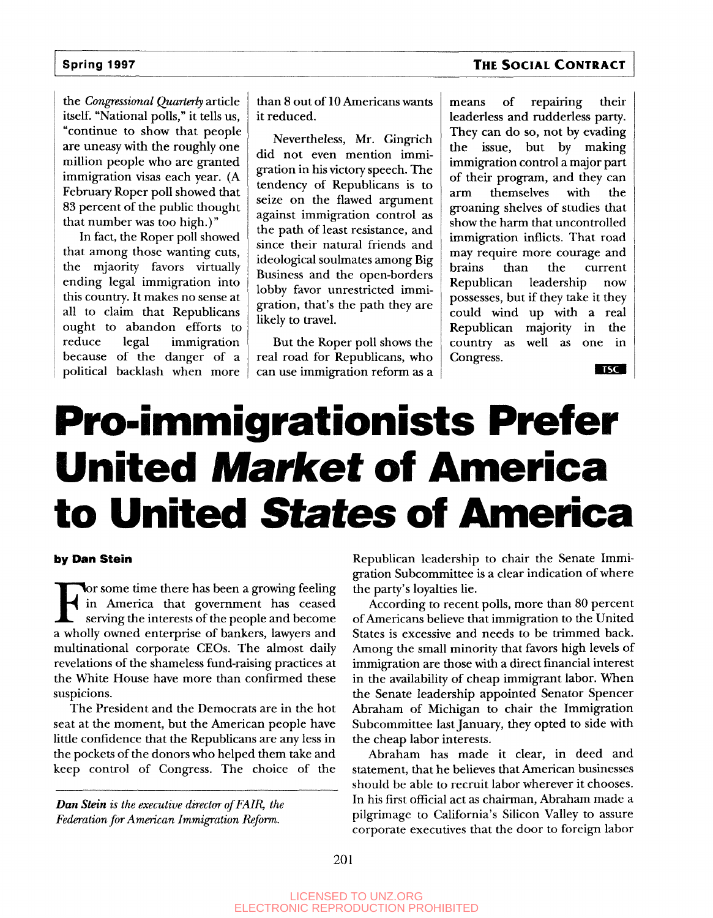### **Spring 1997 THE SOCIAL CONTRACT**

the *Congressional Quarterly* article itself. "National polls," it tells us, "continue to show that people are uneasy with the roughly one million people who are granted immigration visas each year. (A February Roper poll showed that 83 percent of the public thought that number was too high.)"

In fact, the Roper poll showed that among those wanting cuts, the mjaority favors virtually ending legal immigration into this country. It makes no sense at all to claim that Republicans ought to abandon efforts to reduce legal immigration because of the danger of a political backlash when more

than 8 out of 10 Americans wants it reduced.

Nevertheless, Mr. Gingrich did not even mention immigration in his victory speech. The tendency of Republicans is to seize on the flawed argument against immigration control as the path of least resistance, and since their natural friends and ideological soulmates among Big Business and the open-borders lobby favor unrestricted immigration, that's the path they are likely to travel.

But the Roper poll shows the real road for Republicans, who can use immigration reform as a means of repairing their leaderless and rudderless party. They can do so, not by evading the issue, but by making immigration control a major part of their program, and they can arm themselves with the groaning shelves of studies that show the harm that uncontrolled immigration inflicts. That road may require more courage and brains than the current Republican leadership now possesses, but if they take it they could wind up with a real Republican majority in the country as well as one in Congress.

**TSC** 

# **Pro-immigrationists Prefer United Market of America to United States of America**

#### **by Dan Stein**

For some time there has been a growing feeling<br>in America that government has ceased<br>serving the interests of the people and become<br>a wholly owned enterprise of bankers, lawyers and or some time there has been a growing feeling in America that government has ceased serving the interests of the people and become multinational corporate CEOs. The almost daily revelations of the shameless fund-raising practices at the White House have more than confirmed these suspicions.

The President and the Democrats are in the hot seat at the moment, but the American people have little confidence that the Republicans are any less in the pockets of the donors who helped them take and keep control of Congress. The choice of the

*Dan Stein is the executive director of FAIR, the Federation for American Immigration Reform.*

Republican leadership to chair the Senate Immigration Subcommittee is a clear indication of where the party's loyalties lie.

According to recent polls, more than 80 percent of Americans believe that immigration to the United States is excessive and needs to be trimmed back. Among the small minority that favors high levels of immigration are those with a direct financial interest in the availability of cheap immigrant labor. When the Senate leadership appointed Senator Spencer Abraham of Michigan to chair the Immigration Subcommittee last January, they opted to side with the cheap labor interests.

Abraham has made it clear, in deed and statement, that he believes that American businesses should be able to recruit labor wherever it chooses. In his first official act as chairman, Abraham made a pilgrimage to California's Silicon Valley to assure corporate executives that the door to foreign labor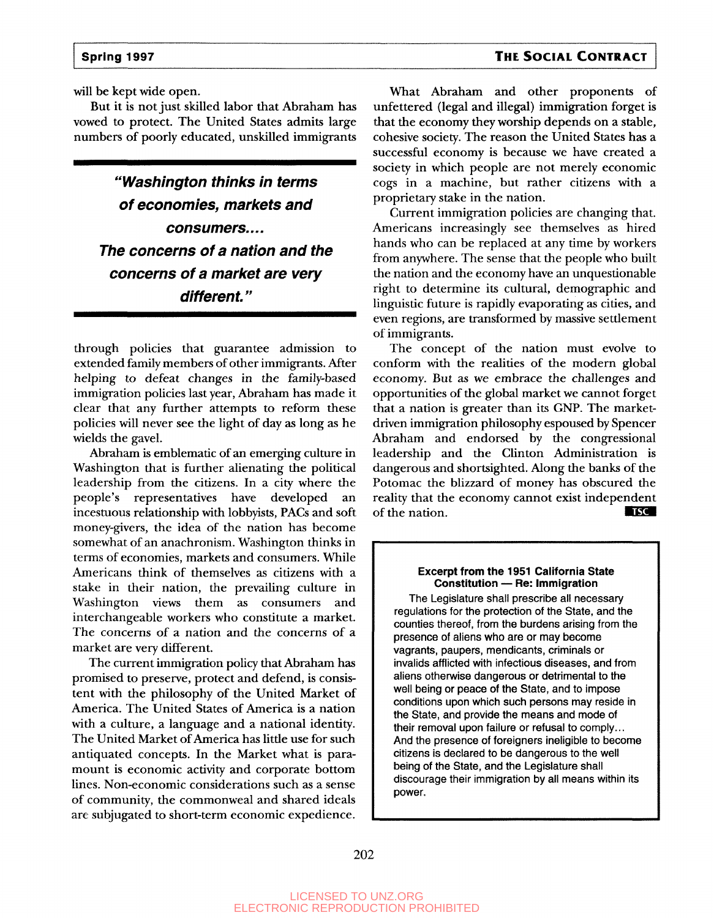#### **Spring 1997 THE SOCIAL CONTRACT**

will be kept wide open.

But it is not just skilled labor that Abraham has vowed to protect. The United States admits large numbers of poorly educated, unskilled immigrants

**"Washington thinks in terms of economies, markets and consumers.... The concerns of a nation and the concerns of a market are very different."**

through policies that guarantee admission to extended family members of other immigrants. After helping to defeat changes in the family-based immigration policies last year, Abraham has made it clear that any further attempts to reform these policies will never see the light of day as long as he wields the gavel.

Abraham is emblematic of an emerging culture in Washington that is further alienating the political leadership from the citizens. In a city where the people's representatives have developed an incestuous relationship with lobbyists, PACs and soft money-givers, the idea of the nation has become somewhat of an anachronism. Washington thinks in terms of economies, markets and consumers. While Americans think of themselves as citizens with a stake in their nation, the prevailing culture in Washington views them as consumers and interchangeable workers who constitute a market. The concerns of a nation and the concerns of a market are very different.

The current immigration policy that Abraham has promised to preserve, protect and defend, is consistent with the philosophy of the United Market of America. The United States of America is a nation with a culture, a language and a national identity. The United Market of America has little use for such antiquated concepts. In the Market what is paramount is economic activity and corporate bottom lines. Non-economic considerations such as a sense of community, the commonweal and shared ideals are subjugated to short-term economic expedience.

What Abraham and other proponents of unfettered (legal and illegal) immigration forget is that the economy they worship depends on a stable, cohesive society. The reason the United States has a successful economy is because we have created a society in which people are not merely economic cogs in a machine, but rather citizens with a proprietary stake in the nation.

Current immigration policies are changing that. Americans increasingly see themselves as hired hands who can be replaced at any time by workers from anywhere. The sense that the people who built the nation and the economy have an unquestionable right to determine its cultural, demographic and linguistic future is rapidly evaporating as cities, and even regions, are transformed by massive settlement of immigrants.

The concept of the nation must evolve to conform with the realities of the modern global economy. But as we embrace the challenges and opportunities of the global market we cannot forget that a nation is greater than its GNP. The marketdriven immigration philosophy espoused by Spencer Abraham and endorsed by the congressional leadership and the Clinton Administration is dangerous and shortsighted. Along the banks of the Potomac the blizzard of money has obscured the reality that the economy cannot exist independent<br>of the nation. of the nation.

#### **Excerpt from the 1951 California State Constitution — Re: Immigration**

The Legislature shall prescribe all necessary regulations for the protection of the State, and the counties thereof, from the burdens arising from the presence of aliens who are or may become vagrants, paupers, mendicants, criminals or invalids afflicted with infectious diseases, and from aliens otherwise dangerous or detrimental to the well being or peace of the State, and to impose conditions upon which such persons may reside in the State, and provide the means and mode of their removal upon failure or refusal to comply... And the presence of foreigners ineligible to become citizens is declared to be dangerous to the well being of the State, and the Legislature shall discourage their immigration by all means within its power.